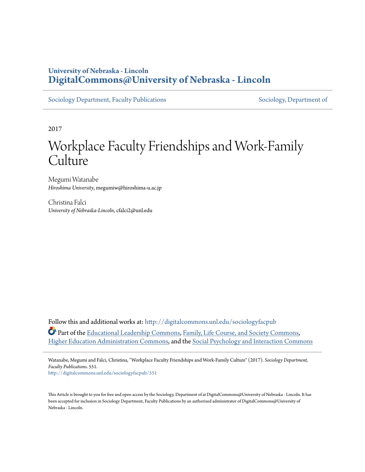### **University of Nebraska - Lincoln [DigitalCommons@University of Nebraska - Lincoln](http://digitalcommons.unl.edu?utm_source=digitalcommons.unl.edu%2Fsociologyfacpub%2F551&utm_medium=PDF&utm_campaign=PDFCoverPages)**

[Sociology Department, Faculty Publications](http://digitalcommons.unl.edu/sociologyfacpub?utm_source=digitalcommons.unl.edu%2Fsociologyfacpub%2F551&utm_medium=PDF&utm_campaign=PDFCoverPages) [Sociology, Department of](http://digitalcommons.unl.edu/sociology?utm_source=digitalcommons.unl.edu%2Fsociologyfacpub%2F551&utm_medium=PDF&utm_campaign=PDFCoverPages)

2017

# Workplace Faculty Friendships and Work-Family **Culture**

Megumi Watanabe *Hiroshima University*, megumiw@hiroshima-u.ac.jp

Christina Falci *University of Nebraska-Lincoln*, cfalci2@unl.edu

Follow this and additional works at: [http://digitalcommons.unl.edu/sociologyfacpub](http://digitalcommons.unl.edu/sociologyfacpub?utm_source=digitalcommons.unl.edu%2Fsociologyfacpub%2F551&utm_medium=PDF&utm_campaign=PDFCoverPages) Part of the [Educational Leadership Commons](http://network.bepress.com/hgg/discipline/1230?utm_source=digitalcommons.unl.edu%2Fsociologyfacpub%2F551&utm_medium=PDF&utm_campaign=PDFCoverPages), [Family, Life Course, and Society Commons](http://network.bepress.com/hgg/discipline/419?utm_source=digitalcommons.unl.edu%2Fsociologyfacpub%2F551&utm_medium=PDF&utm_campaign=PDFCoverPages), [Higher Education Administration Commons](http://network.bepress.com/hgg/discipline/791?utm_source=digitalcommons.unl.edu%2Fsociologyfacpub%2F551&utm_medium=PDF&utm_campaign=PDFCoverPages), and the [Social Psychology and Interaction Commons](http://network.bepress.com/hgg/discipline/430?utm_source=digitalcommons.unl.edu%2Fsociologyfacpub%2F551&utm_medium=PDF&utm_campaign=PDFCoverPages)

Watanabe, Megumi and Falci, Christina, "Workplace Faculty Friendships and Work-Family Culture" (2017). *Sociology Department, Faculty Publications*. 551.

[http://digitalcommons.unl.edu/sociologyfacpub/551](http://digitalcommons.unl.edu/sociologyfacpub/551?utm_source=digitalcommons.unl.edu%2Fsociologyfacpub%2F551&utm_medium=PDF&utm_campaign=PDFCoverPages)

This Article is brought to you for free and open access by the Sociology, Department of at DigitalCommons@University of Nebraska - Lincoln. It has been accepted for inclusion in Sociology Department, Faculty Publications by an authorized administrator of DigitalCommons@University of Nebraska - Lincoln.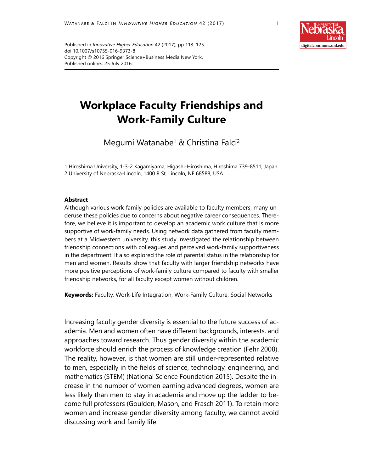

Published in *Innovative Higher Education* 42 (2017), pp 113–125. doi 10.1007/s10755-016-9373-8 Copyright © 2016 Springer Science+Business Media New York. Published online.: 25 July 2016.

## **Workplace Faculty Friendships and Work-Family Culture**

Megumi Watanabe<sup>1</sup> & Christina Falci<sup>2</sup>

1 Hiroshima University, 1-3-2 Kagamiyama, Higashi-Hiroshima, Hiroshima 739-8511, Japan 2 University of Nebraska-Lincoln, 1400 R St, Lincoln, NE 68588, USA

#### **Abstract**

Although various work-family policies are available to faculty members, many underuse these policies due to concerns about negative career consequences. Therefore, we believe it is important to develop an academic work culture that is more supportive of work-family needs. Using network data gathered from faculty members at a Midwestern university, this study investigated the relationship between friendship connections with colleagues and perceived work-family supportiveness in the department. It also explored the role of parental status in the relationship for men and women. Results show that faculty with larger friendship networks have more positive perceptions of work-family culture compared to faculty with smaller friendship networks, for all faculty except women without children.

**Keywords:** Faculty, Work-Life Integration, Work-Family Culture, Social Networks

Increasing faculty gender diversity is essential to the future success of academia. Men and women often have different backgrounds, interests, and approaches toward research. Thus gender diversity within the academic workforce should enrich the process of knowledge creation (Fehr 2008). The reality, however, is that women are still under-represented relative to men, especially in the fields of science, technology, engineering, and mathematics (STEM) (National Science Foundation 2015). Despite the increase in the number of women earning advanced degrees, women are less likely than men to stay in academia and move up the ladder to become full professors (Goulden, Mason, and Frasch 2011). To retain more women and increase gender diversity among faculty, we cannot avoid discussing work and family life.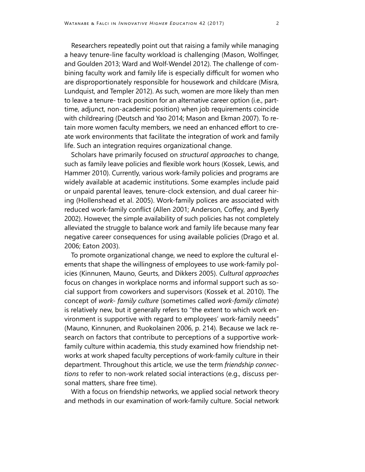Researchers repeatedly point out that raising a family while managing a heavy tenure-line faculty workload is challenging (Mason, Wolfinger, and Goulden 2013; Ward and Wolf-Wendel 2012). The challenge of combining faculty work and family life is especially difficult for women who are disproportionately responsible for housework and childcare (Misra, Lundquist, and Templer 2012). As such, women are more likely than men to leave a tenure- track position for an alternative career option (i.e., parttime, adjunct, non-academic position) when job requirements coincide with childrearing (Deutsch and Yao 2014; Mason and Ekman 2007). To retain more women faculty members, we need an enhanced effort to create work environments that facilitate the integration of work and family life. Such an integration requires organizational change.

Scholars have primarily focused on *structural approaches* to change, such as family leave policies and flexible work hours (Kossek, Lewis, and Hammer 2010). Currently, various work-family policies and programs are widely available at academic institutions. Some examples include paid or unpaid parental leaves, tenure-clock extension, and dual career hiring (Hollenshead et al. 2005). Work-family polices are associated with reduced work-family conflict (Allen 2001; Anderson, Coffey, and Byerly 2002). However, the simple availability of such policies has not completely alleviated the struggle to balance work and family life because many fear negative career consequences for using available policies (Drago et al. 2006; Eaton 2003).

To promote organizational change, we need to explore the cultural elements that shape the willingness of employees to use work-family policies (Kinnunen, Mauno, Geurts, and Dikkers 2005). *Cultural approaches*  focus on changes in workplace norms and informal support such as social support from coworkers and supervisors (Kossek et al. 2010). The concept of *work- family culture* (sometimes called *work-family climate*) is relatively new, but it generally refers to "the extent to which work environment is supportive with regard to employees' work-family needs" (Mauno, Kinnunen, and Ruokolainen 2006, p. 214). Because we lack research on factors that contribute to perceptions of a supportive workfamily culture within academia, this study examined how friendship networks at work shaped faculty perceptions of work-family culture in their department. Throughout this article, we use the term *friendship connections* to refer to non-work related social interactions (e.g., discuss personal matters, share free time).

With a focus on friendship networks, we applied social network theory and methods in our examination of work-family culture. Social network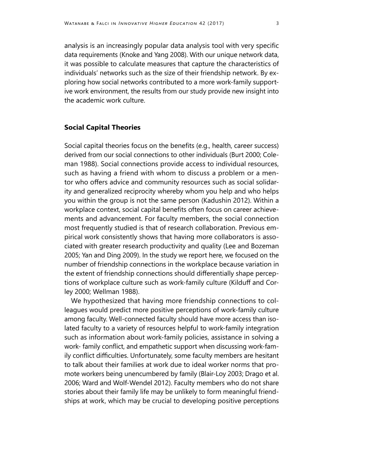analysis is an increasingly popular data analysis tool with very specific data requirements (Knoke and Yang 2008). With our unique network data, it was possible to calculate measures that capture the characteristics of individuals' networks such as the size of their friendship network. By exploring how social networks contributed to a more work-family supportive work environment, the results from our study provide new insight into the academic work culture.

#### **Social Capital Theories**

Social capital theories focus on the benefits (e.g., health, career success) derived from our social connections to other individuals (Burt 2000; Coleman 1988). Social connections provide access to individual resources, such as having a friend with whom to discuss a problem or a mentor who offers advice and community resources such as social solidarity and generalized reciprocity whereby whom you help and who helps you within the group is not the same person (Kadushin 2012). Within a workplace context, social capital benefits often focus on career achievements and advancement. For faculty members, the social connection most frequently studied is that of research collaboration. Previous empirical work consistently shows that having more collaborators is associated with greater research productivity and quality (Lee and Bozeman 2005; Yan and Ding 2009). In the study we report here, we focused on the number of friendship connections in the workplace because variation in the extent of friendship connections should differentially shape perceptions of workplace culture such as work-family culture (Kilduff and Corley 2000; Wellman 1988).

We hypothesized that having more friendship connections to colleagues would predict more positive perceptions of work-family culture among faculty. Well-connected faculty should have more access than isolated faculty to a variety of resources helpful to work-family integration such as information about work-family policies, assistance in solving a work- family conflict, and empathetic support when discussing work-family conflict difficulties. Unfortunately, some faculty members are hesitant to talk about their families at work due to ideal worker norms that promote workers being unencumbered by family (Blair-Loy 2003; Drago et al. 2006; Ward and Wolf-Wendel 2012). Faculty members who do not share stories about their family life may be unlikely to form meaningful friendships at work, which may be crucial to developing positive perceptions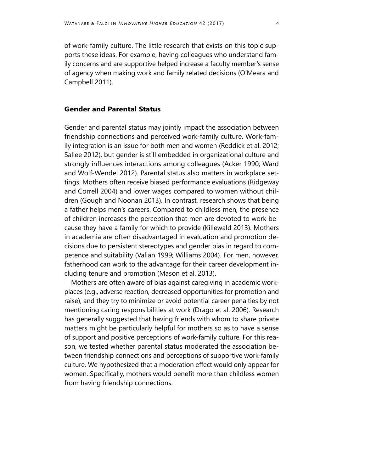of work-family culture. The little research that exists on this topic supports these ideas. For example, having colleagues who understand family concerns and are supportive helped increase a faculty member's sense of agency when making work and family related decisions (O'Meara and Campbell 2011).

#### **Gender and Parental Status**

Gender and parental status may jointly impact the association between friendship connections and perceived work-family culture. Work-family integration is an issue for both men and women (Reddick et al. 2012; Sallee 2012), but gender is still embedded in organizational culture and strongly influences interactions among colleagues (Acker 1990; Ward and Wolf-Wendel 2012). Parental status also matters in workplace settings. Mothers often receive biased performance evaluations (Ridgeway and Correll 2004) and lower wages compared to women without children (Gough and Noonan 2013). In contrast, research shows that being a father helps men's careers. Compared to childless men, the presence of children increases the perception that men are devoted to work because they have a family for which to provide (Killewald 2013). Mothers in academia are often disadvantaged in evaluation and promotion decisions due to persistent stereotypes and gender bias in regard to competence and suitability (Valian 1999; Williams 2004). For men, however, fatherhood can work to the advantage for their career development including tenure and promotion (Mason et al. 2013).

Mothers are often aware of bias against caregiving in academic workplaces (e.g., adverse reaction, decreased opportunities for promotion and raise), and they try to minimize or avoid potential career penalties by not mentioning caring responsibilities at work (Drago et al. 2006). Research has generally suggested that having friends with whom to share private matters might be particularly helpful for mothers so as to have a sense of support and positive perceptions of work-family culture. For this reason, we tested whether parental status moderated the association between friendship connections and perceptions of supportive work-family culture. We hypothesized that a moderation effect would only appear for women. Specifically, mothers would benefit more than childless women from having friendship connections.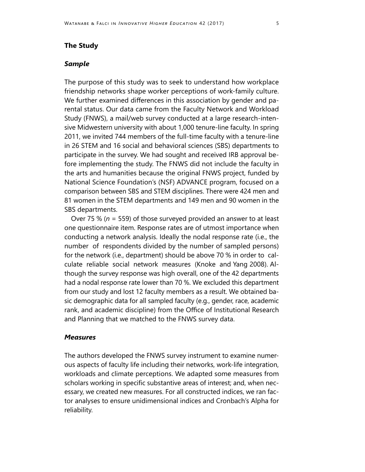#### **The Study**

#### *Sample*

The purpose of this study was to seek to understand how workplace friendship networks shape worker perceptions of work-family culture. We further examined differences in this association by gender and parental status. Our data came from the Faculty Network and Workload Study (FNWS), a mail/web survey conducted at a large research-intensive Midwestern university with about 1,000 tenure-line faculty. In spring 2011, we invited 744 members of the full-time faculty with a tenure-line in 26 STEM and 16 social and behavioral sciences (SBS) departments to participate in the survey. We had sought and received IRB approval before implementing the study. The FNWS did not include the faculty in the arts and humanities because the original FNWS project, funded by National Science Foundation's (NSF) ADVANCE program, focused on a comparison between SBS and STEM disciplines. There were 424 men and 81 women in the STEM departments and 149 men and 90 women in the SBS departments.

Over 75 % (*n* = 559) of those surveyed provided an answer to at least one questionnaire item. Response rates are of utmost importance when conducting a network analysis. Ideally the nodal response rate (i.e., the number of respondents divided by the number of sampled persons) for the network (i.e., department) should be above 70 % in order to calculate reliable social network measures (Knoke and Yang 2008). Although the survey response was high overall, one of the 42 departments had a nodal response rate lower than 70 %. We excluded this department from our study and lost 12 faculty members as a result. We obtained basic demographic data for all sampled faculty (e.g., gender, race, academic rank, and academic discipline) from the Office of Institutional Research and Planning that we matched to the FNWS survey data.

#### *Measures*

The authors developed the FNWS survey instrument to examine numerous aspects of faculty life including their networks, work-life integration, workloads and climate perceptions. We adapted some measures from scholars working in specific substantive areas of interest; and, when necessary, we created new measures. For all constructed indices, we ran factor analyses to ensure unidimensional indices and Cronbach's Alpha for reliability.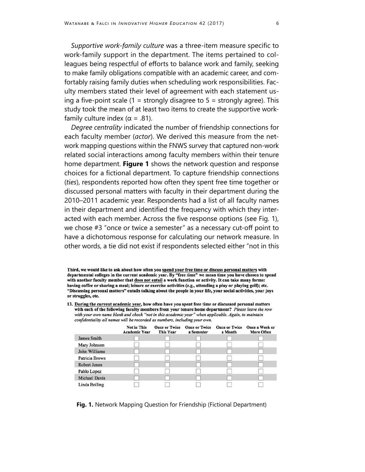*Supportive work-family culture* was a three-item measure specific to work-family support in the department. The items pertained to colleagues being respectful of efforts to balance work and family, seeking to make family obligations compatible with an academic career, and comfortably raising family duties when scheduling work responsibilities. Faculty members stated their level of agreement with each statement using a five-point scale  $(1 =$  strongly disagree to  $5 =$  strongly agree). This study took the mean of at least two items to create the supportive workfamily culture index ( $\alpha$  = .81).

*Degree centrality* indicated the number of friendship connections for each faculty member (*actor*). We derived this measure from the network mapping questions within the FNWS survey that captured non-work related social interactions among faculty members within their tenure home department. **Figure 1** shows the network question and response choices for a fictional department. To capture friendship connections (*ties*), respondents reported how often they spent free time together or discussed personal matters with faculty in their department during the 2010–2011 academic year. Respondents had a list of all faculty names in their department and identified the frequency with which they interacted with each member. Across the five response options (see Fig. 1), we chose #3 "once or twice a semester" as a necessary cut-off point to have a dichotomous response for calculating our network measure. In other words, a tie did not exist if respondents selected either "not in this

Third, we would like to ask about how often you spend your free time or discuss personal matters with departmental colleges in the current academic year. By "free time" we mean time you have chosen to spend with another faculty member that does not entail a work function or activity. It can take many forms: having coffee or sharing a meal; leisure or exercise activities (e.g., attending a play or playing golf); etc. "Discussing personal matters" entails talking about the people in your life, your social activities, your joys or struggles, etc.

13. During the current academic year, how often have you spent free time or discussed personal matters with each of the following faculty members from your tenure home department? Please leave the row with your own name blank and check "not in this academic year" when applicable. Again, to maintain confidentiality all names will be recorded as numbers, including your own.

|                      | <b>Not in This</b><br><b>Academic Year</b> | <b>Once or Twice</b><br><b>This Year</b> | <b>Once or Twice</b><br>a Semester | <b>Once or Twice</b><br>a Month | Once a Week or<br><b>More Often</b> |
|----------------------|--------------------------------------------|------------------------------------------|------------------------------------|---------------------------------|-------------------------------------|
| James Smith          |                                            |                                          |                                    |                                 |                                     |
| Mary Johnson         |                                            |                                          |                                    |                                 |                                     |
| John Williams        |                                            |                                          |                                    |                                 |                                     |
| Patricia Brown       |                                            |                                          |                                    |                                 |                                     |
| Robert Jones         |                                            |                                          |                                    |                                 |                                     |
| Pablo Lopez          |                                            |                                          |                                    |                                 |                                     |
| <b>Michael Davis</b> |                                            |                                          |                                    |                                 |                                     |
| Linda Bolling        |                                            |                                          |                                    |                                 |                                     |

**Fig. 1.** Network Mapping Question for Friendship (Fictional Department)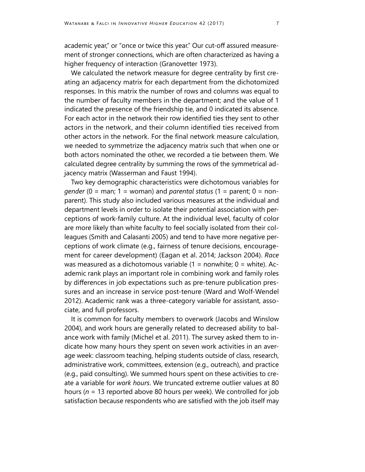academic year," or "once or twice this year." Our cut-off assured measurement of stronger connections, which are often characterized as having a higher frequency of interaction (Granovetter 1973).

We calculated the network measure for degree centrality by first creating an adjacency matrix for each department from the dichotomized responses. In this matrix the number of rows and columns was equal to the number of faculty members in the department; and the value of 1 indicated the presence of the friendship tie, and 0 indicated its absence. For each actor in the network their row identified ties they sent to other actors in the network, and their column identified ties received from other actors in the network. For the final network measure calculation, we needed to symmetrize the adjacency matrix such that when one or both actors nominated the other, we recorded a tie between them. We calculated degree centrality by summing the rows of the symmetrical adjacency matrix (Wasserman and Faust 1994).

Two key demographic characteristics were dichotomous variables for *gender* (0 = man; 1 = woman) and *parental status* (1 = parent; 0 = nonparent). This study also included various measures at the individual and department levels in order to isolate their potential association with perceptions of work-family culture. At the individual level, faculty of color are more likely than white faculty to feel socially isolated from their colleagues (Smith and Calasanti 2005) and tend to have more negative perceptions of work climate (e.g., fairness of tenure decisions, encouragement for career development) (Eagan et al. 2014; Jackson 2004). *Race* was measured as a dichotomous variable  $(1 =$  nonwhite;  $0 =$  white). Academic rank plays an important role in combining work and family roles by differences in job expectations such as pre-tenure publication pressures and an increase in service post-tenure (Ward and Wolf-Wendel 2012). Academic rank was a three-category variable for assistant, associate, and full professors.

It is common for faculty members to overwork (Jacobs and Winslow 2004), and work hours are generally related to decreased ability to balance work with family (Michel et al. 2011). The survey asked them to indicate how many hours they spent on seven work activities in an average week: classroom teaching, helping students outside of class, research, administrative work, committees, extension (e.g., outreach), and practice (e.g., paid consulting). We summed hours spent on these activities to create a variable for *work hours*. We truncated extreme outlier values at 80 hours (*n* = 13 reported above 80 hours per week). We controlled for job satisfaction because respondents who are satisfied with the job itself may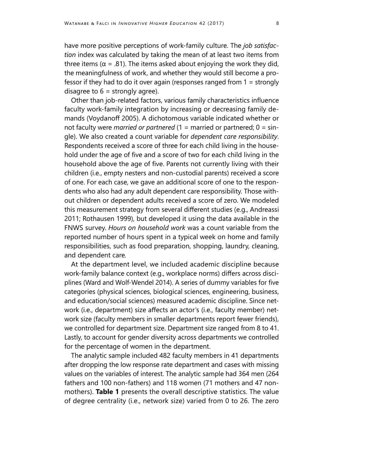have more positive perceptions of work-family culture. The *job satisfaction* index was calculated by taking the mean of at least two items from three items ( $\alpha$  = .81). The items asked about enjoying the work they did, the meaningfulness of work, and whether they would still become a professor if they had to do it over again (responses ranged from 1 = strongly disagree to  $6 =$  strongly agree).

Other than job-related factors, various family characteristics influence faculty work-family integration by increasing or decreasing family demands (Voydanoff 2005). A dichotomous variable indicated whether or not faculty were *married or partnered* (1 = married or partnered; 0 = single). We also created a count variable for *dependent care responsibility*. Respondents received a score of three for each child living in the household under the age of five and a score of two for each child living in the household above the age of five. Parents not currently living with their children (i.e., empty nesters and non-custodial parents) received a score of one. For each case, we gave an additional score of one to the respondents who also had any adult dependent care responsibility. Those without children or dependent adults received a score of zero. We modeled this measurement strategy from several different studies (e.g., Andreassi 2011; Rothausen 1999), but developed it using the data available in the FNWS survey. *Hours on household work* was a count variable from the reported number of hours spent in a typical week on home and family responsibilities, such as food preparation, shopping, laundry, cleaning, and dependent care*.*

At the department level, we included academic discipline because work-family balance context (e.g., workplace norms) differs across disciplines (Ward and Wolf-Wendel 2014). A series of dummy variables for five categories (physical sciences, biological sciences, engineering, business, and education/social sciences) measured academic discipline. Since network (i.e., department) size affects an actor's (i.e., faculty member) network size (faculty members in smaller departments report fewer friends), we controlled for department size. Department size ranged from 8 to 41. Lastly, to account for gender diversity across departments we controlled for the percentage of women in the department.

The analytic sample included 482 faculty members in 41 departments after dropping the low response rate department and cases with missing values on the variables of interest. The analytic sample had 364 men (264 fathers and 100 non-fathers) and 118 women (71 mothers and 47 nonmothers). **Table 1** presents the overall descriptive statistics. The value of degree centrality (i.e., network size) varied from 0 to 26. The zero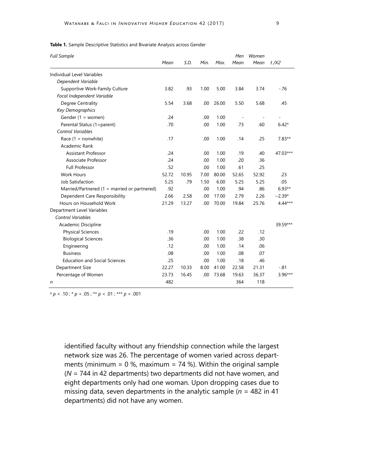**Table 1.** Sample Descriptive Statistics and Bivariate Analysis across Gender

| <b>Full Sample</b>                           |       |       |      |       | Men            | Women |           |
|----------------------------------------------|-------|-------|------|-------|----------------|-------|-----------|
|                                              | Mean  | S.D.  | Min. | Max.  | Mean           | Mean  | t/X2      |
| Individual Level Variables                   |       |       |      |       |                |       |           |
| Dependent Variable                           |       |       |      |       |                |       |           |
| Supportive Work-Family Culture               | 3.82  | .93   | 1.00 | 5.00  | 3.84           | 3.74  | $-76$     |
| Focal Independent Variable                   |       |       |      |       |                |       |           |
| Degree Centrality                            | 5.54  | 3.68  | .00  | 26.00 | 5.50           | 5.68  | .45       |
| <b>Key Demographics</b>                      |       |       |      |       |                |       |           |
| Gender (1 = women)                           | .24   |       | .00  | 1.00  | $\overline{a}$ |       |           |
| Parental Status (1=parent)                   | .70   |       | .00  | 1.00  | .73            | .60   | $6.42*$   |
| <b>Control Variables</b>                     |       |       |      |       |                |       |           |
| Race $(1 = nonwhite)$                        | .17   |       | .00  | 1.00  | .14            | .25   | $7.83**$  |
| Academic Rank                                |       |       |      |       |                |       |           |
| <b>Assistant Professor</b>                   | .24   |       | .00  | 1.00  | .19            | .40   | 47.03***  |
| Associate Professor                          | .24   |       | .00  | 1.00  | .20            | .36   |           |
| <b>Full Professor</b>                        | .52   |       | .00  | 1.00  | .61            | .25   |           |
| <b>Work Hours</b>                            | 52.72 | 10.95 | 7.00 | 80.00 | 52.65          | 52.92 | .23       |
| <b>Job Satisfaction</b>                      | 5.25  | .79   | 1.50 | 6.00  | 5.25           | 5.25  | .05       |
| Married/Partnered (1 = married or partnered) | .92   |       | .00  | 1.00  | .94            | .86   | $6.93**$  |
| Dependent Care Responsibility                | 2.66  | 2.58  | .00  | 17.00 | 2.79           | 2.26  | $-2.39*$  |
| Hours on Household Work                      | 21.29 | 13.27 | .00  | 70.00 | 19.84          | 25.76 | $4.44***$ |
| Department Level Variables                   |       |       |      |       |                |       |           |
| <b>Control Variables</b>                     |       |       |      |       |                |       |           |
| Academic Discipline                          |       |       |      |       |                |       | 39.59***  |
| <b>Physical Sciences</b>                     | .19   |       | .00  | 1.00  | .22            | .12   |           |
| <b>Biological Sciences</b>                   | .36   |       | .00  | 1.00  | .38            | .30   |           |
| Engineering                                  | .12   |       | .00  | 1.00  | .14            | .06   |           |
| <b>Business</b>                              | .08   |       | .00  | 1.00  | .08            | .07   |           |
| <b>Education and Social Sciences</b>         | .25   |       | .00  | 1.00  | .18            | .46   |           |
| <b>Department Size</b>                       |       | 10.33 | 8.00 | 41.00 | 22.58          | 21.31 | $-0.81$   |
| Percentage of Women                          |       | 16.45 | .00  | 73.68 | 19.63          | 36.37 | $3.96***$ |
| n                                            | 482   |       |      |       | 364            | 118   |           |

† *p* < .10 ; \* *p* < .05 ; \*\* *p* < .01 ; \*\*\* *p* < .001

identified faculty without any friendship connection while the largest network size was 26. The percentage of women varied across departments (minimum =  $0\%$ , maximum =  $74\%$ ). Within the original sample (*N* = 744 in 42 departments) two departments did not have women, and eight departments only had one woman. Upon dropping cases due to missing data, seven departments in the analytic sample (*n* = 482 in 41 departments) did not have any women.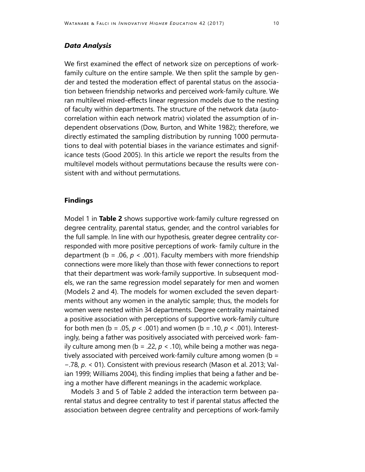#### *Data Analysis*

We first examined the effect of network size on perceptions of workfamily culture on the entire sample. We then split the sample by gender and tested the moderation effect of parental status on the association between friendship networks and perceived work-family culture. We ran multilevel mixed-effects linear regression models due to the nesting of faculty within departments. The structure of the network data (autocorrelation within each network matrix) violated the assumption of independent observations (Dow, Burton, and White 1982); therefore, we directly estimated the sampling distribution by running 1000 permutations to deal with potential biases in the variance estimates and significance tests (Good 2005). In this article we report the results from the multilevel models without permutations because the results were consistent with and without permutations.

#### **Findings**

Model 1 in **Table 2** shows supportive work-family culture regressed on degree centrality, parental status, gender, and the control variables for the full sample. In line with our hypothesis, greater degree centrality corresponded with more positive perceptions of work- family culture in the department ( $b = .06$ ,  $p < .001$ ). Faculty members with more friendship connections were more likely than those with fewer connections to report that their department was work-family supportive. In subsequent models, we ran the same regression model separately for men and women (Models 2 and 4). The models for women excluded the seven departments without any women in the analytic sample; thus, the models for women were nested within 34 departments. Degree centrality maintained a positive association with perceptions of supportive work-family culture for both men (b = .05, *p* < .001) and women (b = .10, *p* < .001). Interestingly, being a father was positively associated with perceived work- family culture among men (b = .22, *p* < .10), while being a mother was negatively associated with perceived work-family culture among women (b = −.78, *p*. < 01). Consistent with previous research (Mason et al. 2013; Valian 1999; Williams 2004), this finding implies that being a father and being a mother have different meanings in the academic workplace.

Models 3 and 5 of Table 2 added the interaction term between parental status and degree centrality to test if parental status affected the association between degree centrality and perceptions of work-family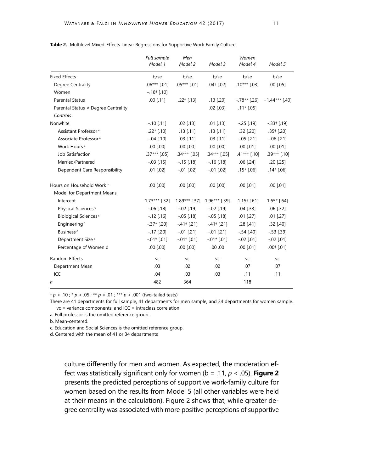|                                      | Full sample               | Men                      |                          | Women          |                           |
|--------------------------------------|---------------------------|--------------------------|--------------------------|----------------|---------------------------|
|                                      | Model 1                   | Model 2                  | Model 3                  | Model 4        | Model 5                   |
| <b>Fixed Effects</b>                 | b/se                      | b/se                     | b/se                     | b/se           | b/se                      |
| Degree Centrality                    | $.06***$ [.01]            | $.05***$ [.01]           | $.04$ <sup>+</sup> [.02] | $.10***$ [.03] | $.00$ $[.05]$             |
| Women                                | $-.18$ <sup>+</sup> [.10] |                          |                          |                |                           |
| <b>Parental Status</b>               | $.00$ [.11]               | $.22$ <sup>+</sup> [.13] | $.13$ [.20]              | $-.78**$ [.26] | $-1.44***$ [.40]          |
| Parental Status × Degree Centrality  |                           |                          | $.02$ $[.03]$            | $.11*$ [.05]   |                           |
| Controls                             |                           |                          |                          |                |                           |
| Nonwhite                             | $-.10$ [.11]              | $.02$ [.13]              | $.01$ [.13]              | $-.25$ [.19]   | $-.33$ <sup>+</sup> [.19] |
| Assistant Professor <sup>a</sup>     | $.22*$ [.10]              | $.13$ [.11]              | $.13$ [.11]              | $.32$ $[.20]$  | $.35^{+}$ [.20]           |
| Associate Professor <sup>a</sup>     | $-.04$ [.10]              | $.03$ [.11]              | $.03$ [.11]              | $-.05$ [.21]   | $-.06$ [.21]              |
| Work Hours <sup>b</sup>              | $.00$ $[.00]$             | $.00$ $[.00]$            | $.00$ $[.00]$            | $.00$ $[.01]$  | $.00$ $[.01]$             |
| <b>Job Satisfaction</b>              | $.37***$ [.05]            | $.34***$ [.05]           | $.34***$ [.05]           | $.41***$ [.10] | $.39***$ [.10]            |
| Married/Partnered                    | $-.03$ [.15]              | $-15$ [.18]              | $-.16$ [.18]             | $.06$ $[.24]$  | $.20$ [ $.25$ ]           |
| Dependent Care Responsibility        | $.01$ $[.02]$             | $-.01$ [.02]             | $-.01$ [.02]             | $.15*$ [.06]   | $.14*$ [.06]              |
| Hours on Household Work <sup>b</sup> | $.00$ $[.00]$             | $.00$ $[.00]$            | $.00$ $1.001$            | $.00$ $[.01]$  | $.00$ $[.01]$             |
| Model for Department Means           |                           |                          |                          |                |                           |
| Intercept                            | $1.73***$ [.32]           | $1.89***$ [.37]          | $1.96***$ [.39]          | $1.15 + [.61]$ | $1.65*$ [.64]             |
| Physical Sciences <sup>c</sup>       | $-.06$ [.18]              | $-.02$ [.19]             | $-.02$ [.19]             | $.04$ $[.33]$  | $.06$ $[.32]$             |
| Biological Sciences <sup>c</sup>     | $-.12$ [.16]              | $-.05$ [.18]             | $-.05$ [.18]             | $.01$ $[.27]$  | $.01$ $[.27]$             |
| Engineering <sup>c</sup>             | $-.37*$ [.20]             | $-.41$ $[.21]$           | $-.41$ $[.21]$           | .28 [.41]      | .32 [.40]                 |
| Business <sup>c</sup>                | $-17$ [.20]               | $-.01$ [.21]             | $-.01$ [.21]             | $-.54$ [.40]   | $-.53$ [.39]              |
| Department Size <sup>d</sup>         | $-.01*$ [.01]             | $-.01$ + [.01]           | $-.01*$ [.01]            | $-.02$ [.01]   | $-.02$ [.01]              |
| Percentage of Women d                | $.00$ $[.00]$             | $[00.]$ 00.              | .00.00                   | $.00$ $[.01]$  | $.00 + [.01]$             |
| Random Effects                       | VC                        | VC                       | VC                       | VC             | VC                        |
| Department Mean                      | .03                       | .02                      | .02                      | .07            | .07                       |
| ICC                                  | .04                       | .03                      | .03                      | .11            | .11                       |
| n                                    | 482                       | 364                      |                          | 118            |                           |

#### **Table 2.** Multilevel Mixed-Effects Linear Regressions for Supportive Work-Family Culture

† *p* < .10 ; \* *p* < .05 ; \*\* *p* < .01 ; \*\*\* *p* < .001 (two-tailed tests)

There are 41 departments for full sample, 41 departments for men sample, and 34 departments for women sample. vc = variance components, and ICC = intraclass correlation

a. Full professor is the omitted reference group.

b. Mean-centered.

c. Education and Social Sciences is the omitted reference group.

d. Centered with the mean of 41 or 34 departments

culture differently for men and women. As expected, the moderation effect was statistically significant only for women (b = .11, *p* < .05). **Figure 2** presents the predicted perceptions of supportive work-family culture for women based on the results from Model 5 (all other variables were held at their means in the calculation). Figure 2 shows that, while greater degree centrality was associated with more positive perceptions of supportive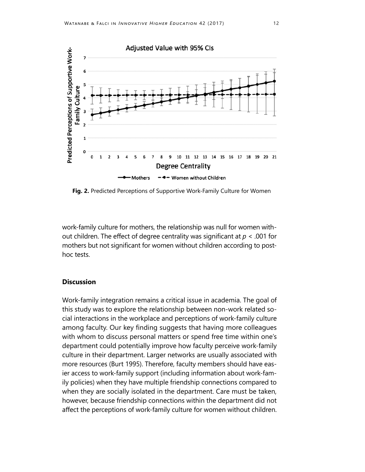

**Fig. 2.** Predicted Perceptions of Supportive Work-Family Culture for Women

work-family culture for mothers, the relationship was null for women without children. The effect of degree centrality was significant at *p* < .001 for mothers but not significant for women without children according to posthoc tests.

#### **Discussion**

Work-family integration remains a critical issue in academia. The goal of this study was to explore the relationship between non-work related social interactions in the workplace and perceptions of work-family culture among faculty. Our key finding suggests that having more colleagues with whom to discuss personal matters or spend free time within one's department could potentially improve how faculty perceive work-family culture in their department. Larger networks are usually associated with more resources (Burt 1995). Therefore, faculty members should have easier access to work-family support (including information about work-family policies) when they have multiple friendship connections compared to when they are socially isolated in the department. Care must be taken, however, because friendship connections within the department did not affect the perceptions of work-family culture for women without children.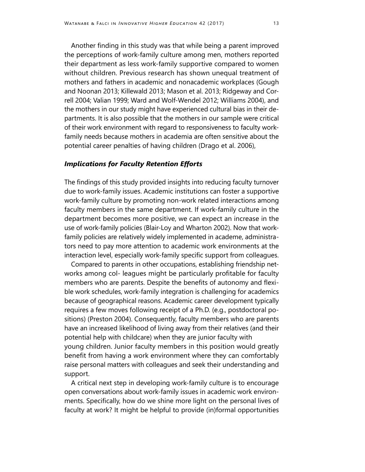Another finding in this study was that while being a parent improved the perceptions of work-family culture among men, mothers reported their department as less work-family supportive compared to women without children. Previous research has shown unequal treatment of mothers and fathers in academic and nonacademic workplaces (Gough and Noonan 2013; Killewald 2013; Mason et al. 2013; Ridgeway and Correll 2004; Valian 1999; Ward and Wolf-Wendel 2012; Williams 2004), and the mothers in our study might have experienced cultural bias in their departments. It is also possible that the mothers in our sample were critical of their work environment with regard to responsiveness to faculty workfamily needs because mothers in academia are often sensitive about the potential career penalties of having children (Drago et al. 2006),

#### *Implications for Faculty Retention Efforts*

The findings of this study provided insights into reducing faculty turnover due to work-family issues. Academic institutions can foster a supportive work-family culture by promoting non-work related interactions among faculty members in the same department. If work-family culture in the department becomes more positive, we can expect an increase in the use of work-family policies (Blair-Loy and Wharton 2002). Now that workfamily policies are relatively widely implemented in academe, administrators need to pay more attention to academic work environments at the interaction level, especially work-family specific support from colleagues.

Compared to parents in other occupations, establishing friendship networks among col- leagues might be particularly profitable for faculty members who are parents. Despite the benefits of autonomy and flexible work schedules, work-family integration is challenging for academics because of geographical reasons. Academic career development typically requires a few moves following receipt of a Ph.D. (e.g., postdoctoral positions) (Preston 2004). Consequently, faculty members who are parents have an increased likelihood of living away from their relatives (and their potential help with childcare) when they are junior faculty with

young children. Junior faculty members in this position would greatly benefit from having a work environment where they can comfortably raise personal matters with colleagues and seek their understanding and support.

A critical next step in developing work-family culture is to encourage open conversations about work-family issues in academic work environments. Specifically, how do we shine more light on the personal lives of faculty at work? It might be helpful to provide (in)formal opportunities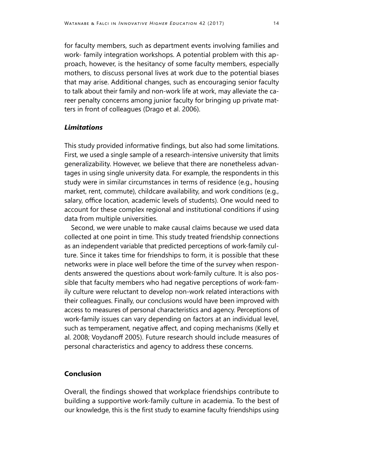for faculty members, such as department events involving families and work- family integration workshops. A potential problem with this approach, however, is the hesitancy of some faculty members, especially mothers, to discuss personal lives at work due to the potential biases that may arise. Additional changes, such as encouraging senior faculty to talk about their family and non-work life at work, may alleviate the career penalty concerns among junior faculty for bringing up private matters in front of colleagues (Drago et al. 2006).

#### *Limitations*

This study provided informative findings, but also had some limitations. First, we used a single sample of a research-intensive university that limits generalizability. However, we believe that there are nonetheless advantages in using single university data. For example, the respondents in this study were in similar circumstances in terms of residence (e.g., housing market, rent, commute), childcare availability, and work conditions (e.g., salary, office location, academic levels of students). One would need to account for these complex regional and institutional conditions if using data from multiple universities.

Second, we were unable to make causal claims because we used data collected at one point in time. This study treated friendship connections as an independent variable that predicted perceptions of work-family culture. Since it takes time for friendships to form, it is possible that these networks were in place well before the time of the survey when respondents answered the questions about work-family culture. It is also possible that faculty members who had negative perceptions of work-family culture were reluctant to develop non-work related interactions with their colleagues. Finally, our conclusions would have been improved with access to measures of personal characteristics and agency. Perceptions of work-family issues can vary depending on factors at an individual level, such as temperament, negative affect, and coping mechanisms (Kelly et al. 2008; Voydanoff 2005). Future research should include measures of personal characteristics and agency to address these concerns.

#### **Conclusion**

Overall, the findings showed that workplace friendships contribute to building a supportive work-family culture in academia. To the best of our knowledge, this is the first study to examine faculty friendships using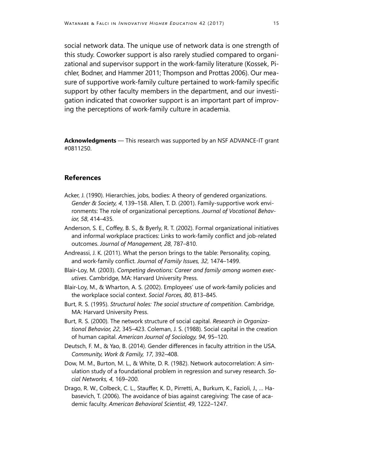social network data. The unique use of network data is one strength of this study. Coworker support is also rarely studied compared to organizational and supervisor support in the work-family literature (Kossek, Pichler, Bodner, and Hammer 2011; Thompson and Prottas 2006). Our measure of supportive work-family culture pertained to work-family specific support by other faculty members in the department, and our investigation indicated that coworker support is an important part of improving the perceptions of work-family culture in academia.

**Acknowledgments** — This research was supported by an NSF ADVANCE-IT grant #0811250.

#### **References**

- Acker, J. (1990). Hierarchies, jobs, bodies: A theory of gendered organizations. *Gender & Society, 4*, 139–158. Allen, T. D. (2001). Family-supportive work environments: The role of organizational perceptions. *Journal of Vocational Behavior, 58*, 414–435.
- Anderson, S. E., Coffey, B. S., & Byerly, R. T. (2002). Formal organizational initiatives and informal workplace practices: Links to work-family conflict and job-related outcomes. *Journal of Management, 28*, 787–810.
- Andreassi, J. K. (2011). What the person brings to the table: Personality, coping, and work-family conflict. *Journal of Family Issues, 32*, 1474–1499.
- Blair-Loy, M. (2003). *Competing devotions: Career and family among women executives*. Cambridge, MA: Harvard University Press.
- Blair-Loy, M., & Wharton, A. S. (2002). Employees' use of work-family policies and the workplace social context. *Social Forces, 80*, 813–845.
- Burt, R. S. (1995). *Structural holes: The social structure of competition*. Cambridge, MA: Harvard University Press.
- Burt, R. S. (2000). The network structure of social capital. *Research in Organizational Behavior, 22*, 345–423. Coleman, J. S. (1988). Social capital in the creation of human capital. *American Journal of Sociology, 94*, 95–120.
- Deutsch, F. M., & Yao, B. (2014). Gender differences in faculty attrition in the USA. *Community, Work & Family, 17*, 392–408.
- Dow, M. M., Burton, M. L., & White, D. R. (1982). Network autocorrelation: A simulation study of a foundational problem in regression and survey research. *Social Networks, 4*, 169–200.
- Drago, R. W., Colbeck, C. L., Stauffer, K. D., Pirretti, A., Burkum, K., Fazioli, J., … Habasevich, T. (2006). The avoidance of bias against caregiving: The case of academic faculty. *American Behavioral Scientist*, *49*, 1222–1247.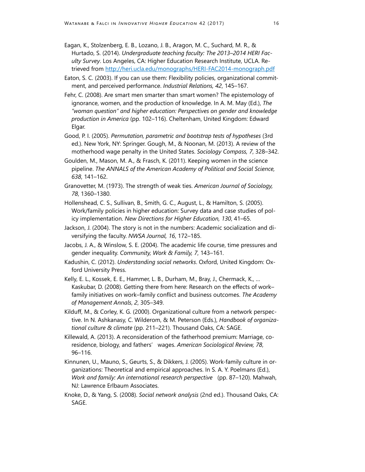- Eagan, K., Stolzenberg, E. B., Lozano, J. B., Aragon, M. C., Suchard, M. R., & Hurtado, S. (2014). *Undergraduate teaching faculty: The 2013*–*2014 HERI Faculty Survey*. Los Angeles, CA: Higher Education Research Institute, UCLA. Retrieved from <http://heri.ucla.edu/monographs/HERI-FAC2014-monograph.pdf>
- Eaton, S. C. (2003). If you can use them: Flexibility policies, organizational commitment, and perceived performance. *Industrial Relations, 42*, 145–167.
- Fehr, C. (2008). Are smart men smarter than smart women? The epistemology of ignorance, women, and the production of knowledge. In A. M. May (Ed.), *The "woman question" and higher education: Perspectives on gender and knowledge production in America* (pp. 102–116). Cheltenham, United Kingdom: Edward Elgar.
- Good, P. I. (2005). *Permutation, parametric and bootstrap tests of hypotheses* (3rd ed.). New York, NY: Springer. Gough, M., & Noonan, M. (2013). A review of the motherhood wage penalty in the United States. *Sociology Compass, 7*, 328–342.
- Goulden, M., Mason, M. A., & Frasch, K. (2011). Keeping women in the science pipeline. *The ANNALS of the American Academy of Political and Social Science, 638*, 141–162.
- Granovetter, M. (1973). The strength of weak ties. *American Journal of Sociology, 78*, 1360–1380.
- Hollenshead, C. S., Sullivan, B., Smith, G. C., August, L., & Hamilton, S. (2005). Work/family policies in higher education: Survey data and case studies of policy implementation. *New Directions for Higher Education, 130*, 41–65.
- Jackson, J. (2004). The story is not in the numbers: Academic socialization and diversifying the faculty. *NWSA Journal, 16*, 172–185.
- Jacobs, J. A., & Winslow, S. E. (2004). The academic life course, time pressures and gender inequality. *Community, Work & Family, 7*, 143–161.
- Kadushin, C. (2012). *Understanding social networks*. Oxford, United Kingdom: Oxford University Press.
- Kelly, E. L., Kossek, E. E., Hammer, L. B., Durham, M., Bray, J., Chermack, K., … Kaskubar, D. (2008). Getting there from here: Research on the effects of work– family initiatives on work–family conflict and business outcomes. *The Academy of Management Annals*, *2*, 305–349.
- Kilduff, M., & Corley, K. G. (2000). Organizational culture from a network perspective. In N. Ashkanasy, C. Wilderom, & M. Peterson (Eds.), *Handbook of organizational culture & climate* (pp. 211–221). Thousand Oaks, CA: SAGE.
- Killewald, A. (2013). A reconsideration of the fatherhood premium: Marriage, coresidence, biology, and fathers' wages. *American Sociological Review, 78*, 96–116.
- Kinnunen, U., Mauno, S., Geurts, S., & Dikkers, J. (2005). Work-family culture in organizations: Theoretical and empirical approaches. In S. A. Y. Poelmans (Ed.), *Work and family: An international research perspective* (pp. 87–120). Mahwah, NJ: Lawrence Erlbaum Associates.
- Knoke, D., & Yang, S. (2008). *Social network analysis* (2nd ed.). Thousand Oaks, CA: SAGE.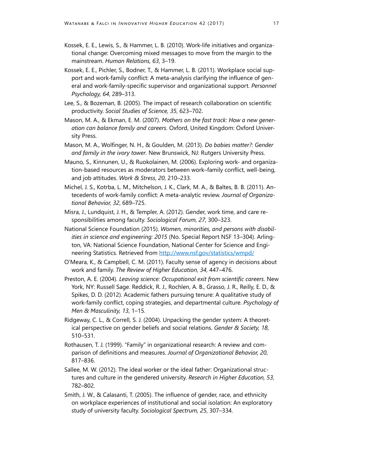- Kossek, E. E., Lewis, S., & Hammer, L. B. (2010). Work-life initiatives and organizational change: Overcoming mixed messages to move from the margin to the mainstream. *Human Relations, 63*, 3–19.
- Kossek, E. E., Pichler, S., Bodner, T., & Hammer, L. B. (2011). Workplace social support and work-family conflict: A meta-analysis clarifying the influence of general and work-family-specific supervisor and organizational support. *Personnel Psychology, 64*, 289–313.
- Lee, S., & Bozeman, B. (2005). The impact of research collaboration on scientific productivity. *Social Studies of Science, 35*, 623–702.
- Mason, M. A., & Ekman, E. M. (2007). *Mothers on the fast track: How a new generation can balance family and careers*. Oxford, United Kingdom: Oxford University Press.
- Mason, M. A., Wolfinger, N. H., & Goulden, M. (2013). *Do babies matter?: Gender and family in the ivory tower*. New Brunswick, NJ: Rutgers University Press.
- Mauno, S., Kinnunen, U., & Ruokolainen, M. (2006). Exploring work- and organization-based resources as moderators between work–family conflict, well-being, and job attitudes. *Work & Stress, 20*, 210–233.
- Michel, J. S., Kotrba, L. M., Mitchelson, J. K., Clark, M. A., & Baltes, B. B. (2011). Antecedents of work-family conflict: A meta-analytic review. *Journal of Organizational Behavior, 32*, 689–725.
- Misra, J., Lundquist, J. H., & Templer, A. (2012). Gender, work time, and care responsibilities among faculty. *Sociological Forum, 27*, 300–323.
- National Science Foundation (2015). *Women, minorities, and persons with disabilities in science and engineering: 2015* (No. Special Report NSF 13–304). Arlington, VA: National Science Foundation, National Center for Science and Engineering Statistics. Retrieved from http://www.nsf.gov/statistics/wmpd/
- O'Meara, K., & Campbell, C. M. (2011). Faculty sense of agency in decisions about work and family. *The Review of Higher Education, 34*, 447–476.
- Preston, A. E. (2004). *Leaving science: Occupational exit from scientific careers*. New York, NY: Russell Sage. Reddick, R. J., Rochlen, A. B., Grasso, J. R., Reilly, E. D., & Spikes, D. D. (2012). Academic fathers pursuing tenure: A qualitative study of work-family conflict, coping strategies, and departmental culture. *Psychology of Men & Masculinity, 13*, 1–15.
- Ridgeway, C. L., & Correll, S. J. (2004). Unpacking the gender system: A theoretical perspective on gender beliefs and social relations. *Gender & Society, 18*, 510–531.
- Rothausen, T. J. (1999). "Family" in organizational research: A review and comparison of definitions and measures. *Journal of Organizational Behavior, 20*, 817–836.
- Sallee, M. W. (2012). The ideal worker or the ideal father: Organizational structures and culture in the gendered university. *Research in Higher Education, 53*, 782–802.
- Smith, J. W., & Calasanti, T. (2005). The influence of gender, race, and ethnicity on workplace experiences of institutional and social isolation: An exploratory study of university faculty. *Sociological Spectrum, 25*, 307–334.